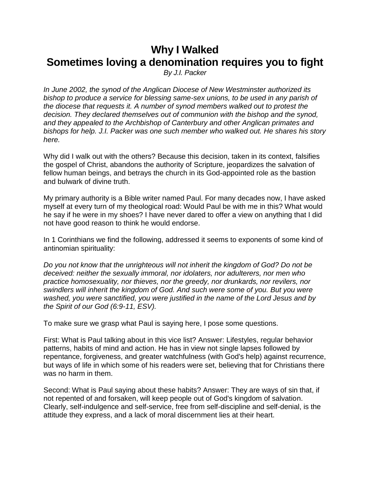# **Why I Walked Sometimes loving a denomination requires you to fight**

*By J.I. Packer*

*In June 2002, the synod of the Anglican Diocese of New Westminster authorized its bishop to produce a service for blessing same-sex unions, to be used in any parish of the diocese that requests it. A number of synod members walked out to protest the decision. They declared themselves out of communion with the bishop and the synod, and they appealed to the Archbishop of Canterbury and other Anglican primates and bishops for help. J.I. Packer was one such member who walked out. He shares his story here.*

Why did I walk out with the others? Because this decision, taken in its context, falsifies the gospel of Christ, abandons the authority of Scripture, jeopardizes the salvation of fellow human beings, and betrays the church in its God-appointed role as the bastion and bulwark of divine truth.

My primary authority is a Bible writer named Paul. For many decades now, I have asked myself at every turn of my theological road: Would Paul be with me in this? What would he say if he were in my shoes? I have never dared to offer a view on anything that I did not have good reason to think he would endorse.

In 1 Corinthians we find the following, addressed it seems to exponents of some kind of antinomian spirituality:

*Do you not know that the unrighteous will not inherit the kingdom of God? Do not be deceived: neither the sexually immoral, nor idolaters, nor adulterers, nor men who practice homosexuality, nor thieves, nor the greedy, nor drunkards, nor revilers, nor swindlers will inherit the kingdom of God. And such were some of you. But you were washed, you were sanctified, you were justified in the name of the Lord Jesus and by the Spirit of our God (6:9-11, ESV).*

To make sure we grasp what Paul is saying here, I pose some questions.

First: What is Paul talking about in this vice list? Answer: Lifestyles, regular behavior patterns, habits of mind and action. He has in view not single lapses followed by repentance, forgiveness, and greater watchfulness (with God's help) against recurrence, but ways of life in which some of his readers were set, believing that for Christians there was no harm in them.

Second: What is Paul saying about these habits? Answer: They are ways of sin that, if not repented of and forsaken, will keep people out of God's kingdom of salvation. Clearly, self-indulgence and self-service, free from self-discipline and self-denial, is the attitude they express, and a lack of moral discernment lies at their heart.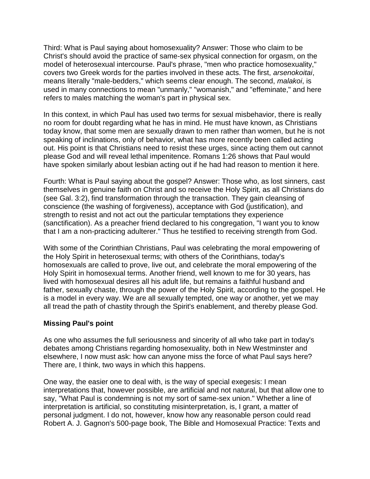Third: What is Paul saying about homosexuality? Answer: Those who claim to be Christ's should avoid the practice of same-sex physical connection for orgasm, on the model of heterosexual intercourse. Paul's phrase, "men who practice homosexuality," covers two Greek words for the parties involved in these acts. The first, *arsenokoitai*, means literally "male-bedders," which seems clear enough. The second, *malakoi*, is used in many connections to mean "unmanly," "womanish," and "effeminate," and here refers to males matching the woman's part in physical sex.

In this context, in which Paul has used two terms for sexual misbehavior, there is really no room for doubt regarding what he has in mind. He must have known, as Christians today know, that some men are sexually drawn to men rather than women, but he is not speaking of inclinations, only of behavior, what has more recently been called acting out. His point is that Christians need to resist these urges, since acting them out cannot please God and will reveal lethal impenitence. Romans 1:26 shows that Paul would have spoken similarly about lesbian acting out if he had had reason to mention it here.

Fourth: What is Paul saying about the gospel? Answer: Those who, as lost sinners, cast themselves in genuine faith on Christ and so receive the Holy Spirit, as all Christians do (see Gal. 3:2), find transformation through the transaction. They gain cleansing of conscience (the washing of forgiveness), acceptance with God (justification), and strength to resist and not act out the particular temptations they experience (sanctification). As a preacher friend declared to his congregation, "I want you to know that I am a non-practicing adulterer." Thus he testified to receiving strength from God.

With some of the Corinthian Christians, Paul was celebrating the moral empowering of the Holy Spirit in heterosexual terms; with others of the Corinthians, today's homosexuals are called to prove, live out, and celebrate the moral empowering of the Holy Spirit in homosexual terms. Another friend, well known to me for 30 years, has lived with homosexual desires all his adult life, but remains a faithful husband and father, sexually chaste, through the power of the Holy Spirit, according to the gospel. He is a model in every way. We are all sexually tempted, one way or another, yet we may all tread the path of chastity through the Spirit's enablement, and thereby please God.

## **Missing Paul's point**

As one who assumes the full seriousness and sincerity of all who take part in today's debates among Christians regarding homosexuality, both in New Westminster and elsewhere, I now must ask: how can anyone miss the force of what Paul says here? There are, I think, two ways in which this happens.

One way, the easier one to deal with, is the way of special exegesis: I mean interpretations that, however possible, are artificial and not natural, but that allow one to say, "What Paul is condemning is not my sort of same-sex union." Whether a line of interpretation is artificial, so constituting misinterpretation, is, I grant, a matter of personal judgment. I do not, however, know how any reasonable person could read Robert A. J. Gagnon's 500-page book, The Bible and Homosexual Practice: Texts and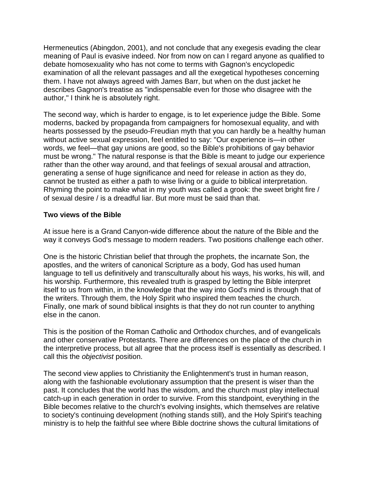Hermeneutics (Abingdon, 2001), and not conclude that any exegesis evading the clear meaning of Paul is evasive indeed. Nor from now on can I regard anyone as qualified to debate homosexuality who has not come to terms with Gagnon's encyclopedic examination of all the relevant passages and all the exegetical hypotheses concerning them. I have not always agreed with James Barr, but when on the dust jacket he describes Gagnon's treatise as "indispensable even for those who disagree with the author," I think he is absolutely right.

The second way, which is harder to engage, is to let experience judge the Bible. Some moderns, backed by propaganda from campaigners for homosexual equality, and with hearts possessed by the pseudo-Freudian myth that you can hardly be a healthy human without active sexual expression, feel entitled to say: "Our experience is—in other words, we feel—that gay unions are good, so the Bible's prohibitions of gay behavior must be wrong." The natural response is that the Bible is meant to judge our experience rather than the other way around, and that feelings of sexual arousal and attraction, generating a sense of huge significance and need for release in action as they do, cannot be trusted as either a path to wise living or a guide to biblical interpretation. Rhyming the point to make what in my youth was called a grook: the sweet bright fire / of sexual desire / is a dreadful liar. But more must be said than that.

## **Two views of the Bible**

At issue here is a Grand Canyon-wide difference about the nature of the Bible and the way it conveys God's message to modern readers. Two positions challenge each other.

One is the historic Christian belief that through the prophets, the incarnate Son, the apostles, and the writers of canonical Scripture as a body, God has used human language to tell us definitively and transculturally about his ways, his works, his will, and his worship. Furthermore, this revealed truth is grasped by letting the Bible interpret itself to us from within, in the knowledge that the way into God's mind is through that of the writers. Through them, the Holy Spirit who inspired them teaches the church. Finally, one mark of sound biblical insights is that they do not run counter to anything else in the canon.

This is the position of the Roman Catholic and Orthodox churches, and of evangelicals and other conservative Protestants. There are differences on the place of the church in the interpretive process, but all agree that the process itself is essentially as described. I call this the *objectivist* position.

The second view applies to Christianity the Enlightenment's trust in human reason, along with the fashionable evolutionary assumption that the present is wiser than the past. It concludes that the world has the wisdom, and the church must play intellectual catch-up in each generation in order to survive. From this standpoint, everything in the Bible becomes relative to the church's evolving insights, which themselves are relative to society's continuing development (nothing stands still), and the Holy Spirit's teaching ministry is to help the faithful see where Bible doctrine shows the cultural limitations of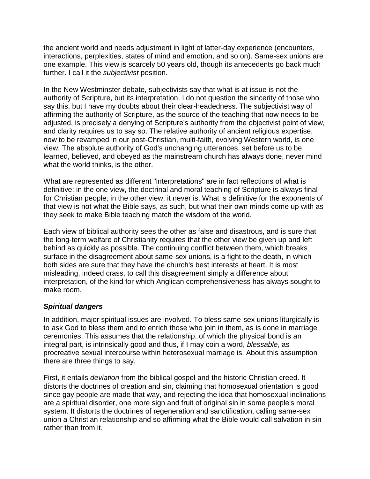the ancient world and needs adjustment in light of latter-day experience (encounters, interactions, perplexities, states of mind and emotion, and so on). Same-sex unions are one example. This view is scarcely 50 years old, though its antecedents go back much further. I call it the *subjectivist* position.

In the New Westminster debate, subjectivists say that what is at issue is not the authority of Scripture, but its interpretation. I do not question the sincerity of those who say this, but I have my doubts about their clear-headedness. The subjectivist way of affirming the authority of Scripture, as the source of the teaching that now needs to be adjusted, is precisely a denying of Scripture's authority from the objectivist point of view, and clarity requires us to say so. The relative authority of ancient religious expertise, now to be revamped in our post-Christian, multi-faith, evolving Western world, is one view. The absolute authority of God's unchanging utterances, set before us to be learned, believed, and obeyed as the mainstream church has always done, never mind what the world thinks, is the other.

What are represented as different "interpretations" are in fact reflections of what is definitive: in the one view, the doctrinal and moral teaching of Scripture is always final for Christian people; in the other view, it never is. What is definitive for the exponents of that view is not what the Bible says, as such, but what their own minds come up with as they seek to make Bible teaching match the wisdom of the world.

Each view of biblical authority sees the other as false and disastrous, and is sure that the long-term welfare of Christianity requires that the other view be given up and left behind as quickly as possible. The continuing conflict between them, which breaks surface in the disagreement about same-sex unions, is a fight to the death, in which both sides are sure that they have the church's best interests at heart. It is most misleading, indeed crass, to call this disagreement simply a difference about interpretation, of the kind for which Anglican comprehensiveness has always sought to make room.

## *Spiritual dangers*

In addition, major spiritual issues are involved. To bless same-sex unions liturgically is to ask God to bless them and to enrich those who join in them, as is done in marriage ceremonies. This assumes that the relationship, of which the physical bond is an integral part, is intrinsically good and thus, if I may coin a word, *blessable*, as procreative sexual intercourse within heterosexual marriage is. About this assumption there are three things to say.

First, it entails *deviation* from the biblical gospel and the historic Christian creed. It distorts the doctrines of creation and sin, claiming that homosexual orientation is good since gay people are made that way, and rejecting the idea that homosexual inclinations are a spiritual disorder, one more sign and fruit of original sin in some people's moral system. It distorts the doctrines of regeneration and sanctification, calling same-sex union a Christian relationship and so affirming what the Bible would call salvation in sin rather than from it.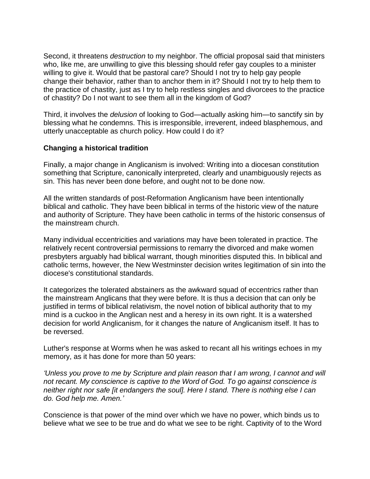Second, it threatens *destruction* to my neighbor. The official proposal said that ministers who, like me, are unwilling to give this blessing should refer gay couples to a minister willing to give it. Would that be pastoral care? Should I not try to help gay people change their behavior, rather than to anchor them in it? Should I not try to help them to the practice of chastity, just as I try to help restless singles and divorcees to the practice of chastity? Do I not want to see them all in the kingdom of God?

Third, it involves the *delusion* of looking to God—actually asking him—to sanctify sin by blessing what he condemns. This is irresponsible, irreverent, indeed blasphemous, and utterly unacceptable as church policy. How could I do it?

## **Changing a historical tradition**

Finally, a major change in Anglicanism is involved: Writing into a diocesan constitution something that Scripture, canonically interpreted, clearly and unambiguously rejects as sin. This has never been done before, and ought not to be done now.

All the written standards of post-Reformation Anglicanism have been intentionally biblical and catholic. They have been biblical in terms of the historic view of the nature and authority of Scripture. They have been catholic in terms of the historic consensus of the mainstream church.

Many individual eccentricities and variations may have been tolerated in practice. The relatively recent controversial permissions to remarry the divorced and make women presbyters arguably had biblical warrant, though minorities disputed this. In biblical and catholic terms, however, the New Westminster decision writes legitimation of sin into the diocese's constitutional standards.

It categorizes the tolerated abstainers as the awkward squad of eccentrics rather than the mainstream Anglicans that they were before. It is thus a decision that can only be justified in terms of biblical relativism, the novel notion of biblical authority that to my mind is a cuckoo in the Anglican nest and a heresy in its own right. It is a watershed decision for world Anglicanism, for it changes the nature of Anglicanism itself. It has to be reversed.

Luther's response at Worms when he was asked to recant all his writings echoes in my memory, as it has done for more than 50 years:

*'Unless you prove to me by Scripture and plain reason that I am wrong, I cannot and will not recant. My conscience is captive to the Word of God. To go against conscience is neither right nor safe [it endangers the soul]. Here I stand. There is nothing else I can do. God help me. Amen.'*

Conscience is that power of the mind over which we have no power, which binds us to believe what we see to be true and do what we see to be right. Captivity of to the Word